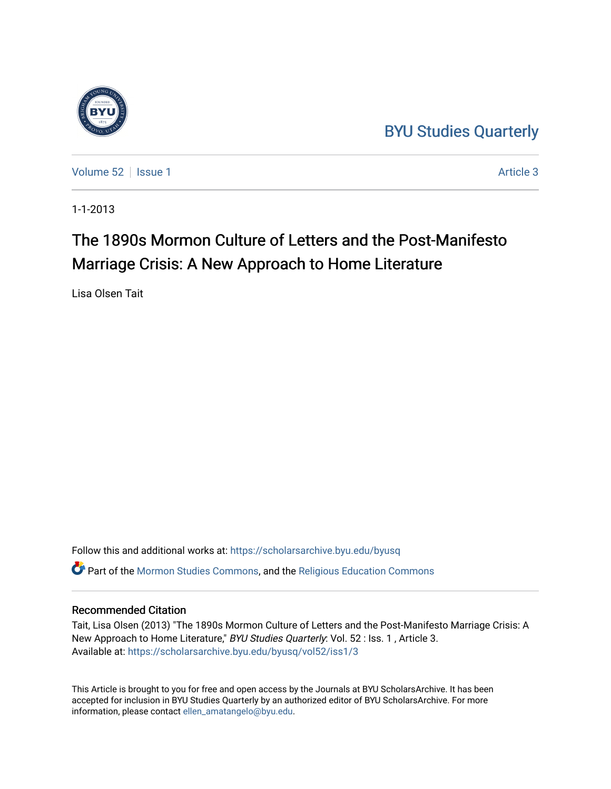## [BYU Studies Quarterly](https://scholarsarchive.byu.edu/byusq)



[Volume 52](https://scholarsarchive.byu.edu/byusq/vol52) | [Issue 1](https://scholarsarchive.byu.edu/byusq/vol52/iss1) Article 3

1-1-2013

# The 1890s Mormon Culture of Letters and the Post-Manifesto Marriage Crisis: A New Approach to Home Literature

Lisa Olsen Tait

Follow this and additional works at: [https://scholarsarchive.byu.edu/byusq](https://scholarsarchive.byu.edu/byusq?utm_source=scholarsarchive.byu.edu%2Fbyusq%2Fvol52%2Fiss1%2F3&utm_medium=PDF&utm_campaign=PDFCoverPages)  Part of the [Mormon Studies Commons](http://network.bepress.com/hgg/discipline/1360?utm_source=scholarsarchive.byu.edu%2Fbyusq%2Fvol52%2Fiss1%2F3&utm_medium=PDF&utm_campaign=PDFCoverPages), and the [Religious Education Commons](http://network.bepress.com/hgg/discipline/1414?utm_source=scholarsarchive.byu.edu%2Fbyusq%2Fvol52%2Fiss1%2F3&utm_medium=PDF&utm_campaign=PDFCoverPages) 

### Recommended Citation

Tait, Lisa Olsen (2013) "The 1890s Mormon Culture of Letters and the Post-Manifesto Marriage Crisis: A New Approach to Home Literature," BYU Studies Quarterly: Vol. 52 : Iss. 1, Article 3. Available at: [https://scholarsarchive.byu.edu/byusq/vol52/iss1/3](https://scholarsarchive.byu.edu/byusq/vol52/iss1/3?utm_source=scholarsarchive.byu.edu%2Fbyusq%2Fvol52%2Fiss1%2F3&utm_medium=PDF&utm_campaign=PDFCoverPages)

This Article is brought to you for free and open access by the Journals at BYU ScholarsArchive. It has been accepted for inclusion in BYU Studies Quarterly by an authorized editor of BYU ScholarsArchive. For more information, please contact [ellen\\_amatangelo@byu.edu.](mailto:ellen_amatangelo@byu.edu)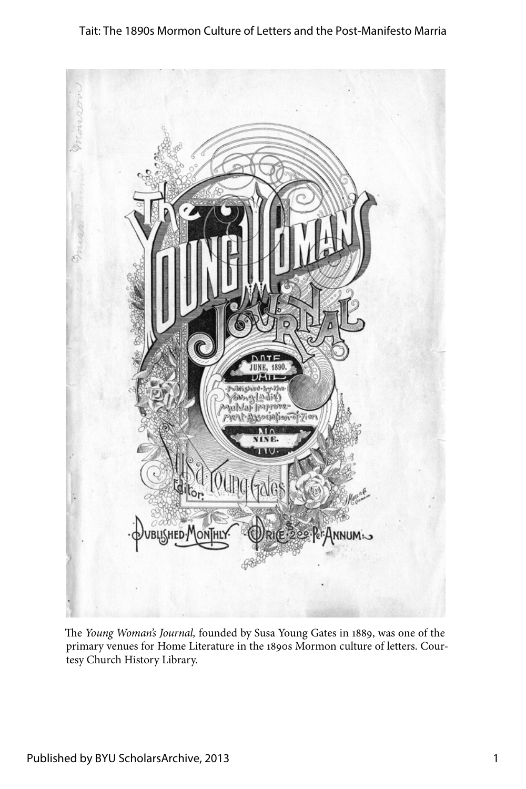#### Tait: The 1890s Mormon Culture of Letters and the Post-Manifesto Marria



The *Young Woman's Journal,* founded by Susa Young Gates in 1889, was one of the primary venues for Home Literature in the 1890s Mormon culture of letters. Courtesy Church History Library.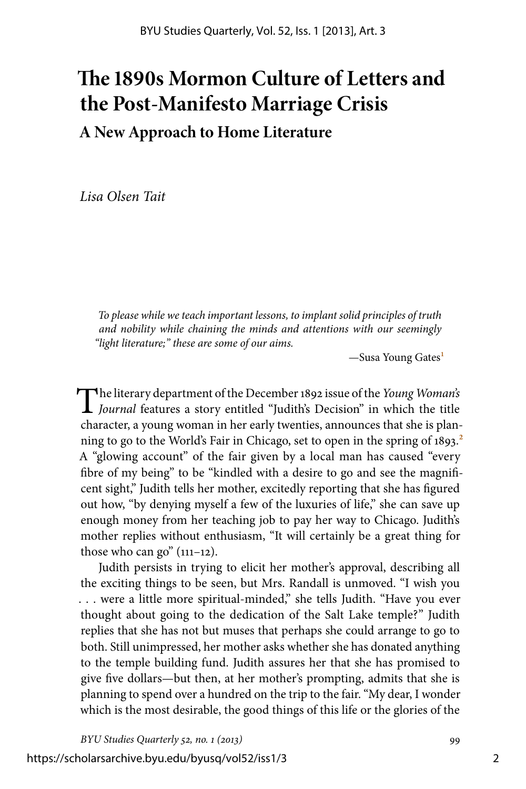## **The 1890s Mormon Culture of Letters and the Post-Manifesto Marriage Crisis A New Approach to Home Literature**

*Lisa Olsen Tait*

*To please while we teach important lessons, to implant solid principles of truth and nobility while chaining the minds and attentions with our seemingly "light literature;" these are some of our aims.*

—Susa Young Gates<sup>1</sup>

The literary department of the December 1892 issue of the *Young Woman's Journal* features a story entitled "Judith's Decision" in which the title character, a young woman in her early twenties, announces that she is planning to go to the World's Fair in Chicago, set to open in the spring of  $1893$ <sup>2</sup> A "glowing account" of the fair given by a local man has caused "every fibre of my being" to be "kindled with a desire to go and see the magnificent sight," Judith tells her mother, excitedly reporting that she has figured out how, "by denying myself a few of the luxuries of life," she can save up enough money from her teaching job to pay her way to Chicago. Judith's mother replies without enthusiasm, "It will certainly be a great thing for those who can go"  $(111-12)$ .

Judith persists in trying to elicit her mother's approval, describing all the exciting things to be seen, but Mrs. Randall is unmoved. "I wish you . . . were a little more spiritual-minded," she tells Judith. "Have you ever thought about going to the dedication of the Salt Lake temple?" Judith replies that she has not but muses that perhaps she could arrange to go to both. Still unimpressed, her mother asks whether she has donated anything to the temple building fund. Judith assures her that she has promised to give five dollars—but then, at her mother's prompting, admits that she is planning to spend over a hundred on the trip to the fair. "My dear, I wonder which is the most desirable, the good things of this life or the glories of the

*BYU Studies Quarterly 52, no. 1 (2013)* 99

https://scholarsarchive.byu.edu/byusq/vol52/iss1/3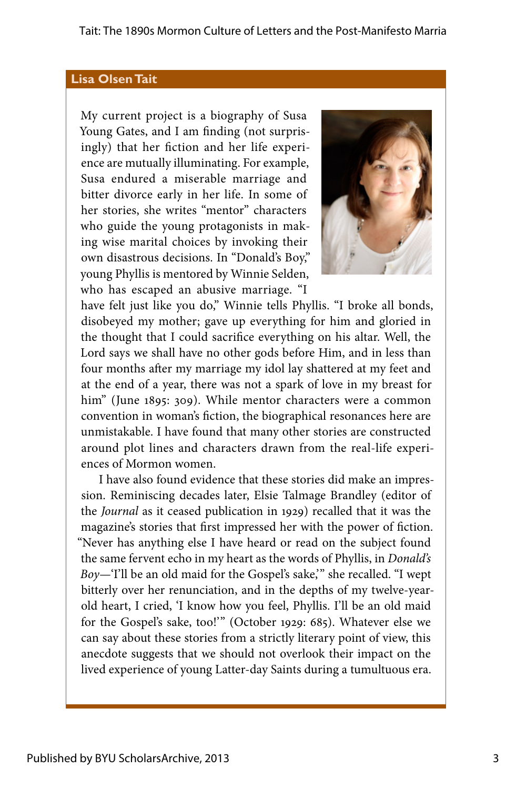#### **Lisa Olsen Tait**

My current project is a biography of Susa Young Gates, and I am finding (not surprisingly) that her fiction and her life experience are mutually illuminating. For example, Susa endured a miserable marriage and bitter divorce early in her life. In some of her stories, she writes "mentor" characters who guide the young protagonists in making wise marital choices by invoking their own disastrous decisions. In "Donald's Boy," young Phyllis is mentored by Winnie Selden, who has escaped an abusive marriage. "I



have felt just like you do," Winnie tells Phyllis. "I broke all bonds, disobeyed my mother; gave up everything for him and gloried in the thought that I could sacrifice everything on his altar. Well, the Lord says we shall have no other gods before Him, and in less than four months after my marriage my idol lay shattered at my feet and at the end of a year, there was not a spark of love in my breast for him" (June 1895: 309). While mentor characters were a common convention in woman's fiction, the biographical resonances here are unmistakable. I have found that many other stories are constructed around plot lines and characters drawn from the real-life experiences of Mormon women.

I have also found evidence that these stories did make an impression. Reminiscing decades later, Elsie Talmage Brandley (editor of the *Journal* as it ceased publication in 1929) recalled that it was the magazine's stories that first impressed her with the power of fiction. "Never has anything else I have heard or read on the subject found the same fervent echo in my heart as the words of Phyllis, in *Donald's Boy—*'I'll be an old maid for the Gospel's sake,'" she recalled. "I wept bitterly over her renunciation, and in the depths of my twelve-yearold heart, I cried, 'I know how you feel, Phyllis. I'll be an old maid for the Gospel's sake, too!'" (October 1929: 685). Whatever else we can say about these stories from a strictly literary point of view, this anecdote suggests that we should not overlook their impact on the lived experience of young Latter-day Saints during a tumultuous era.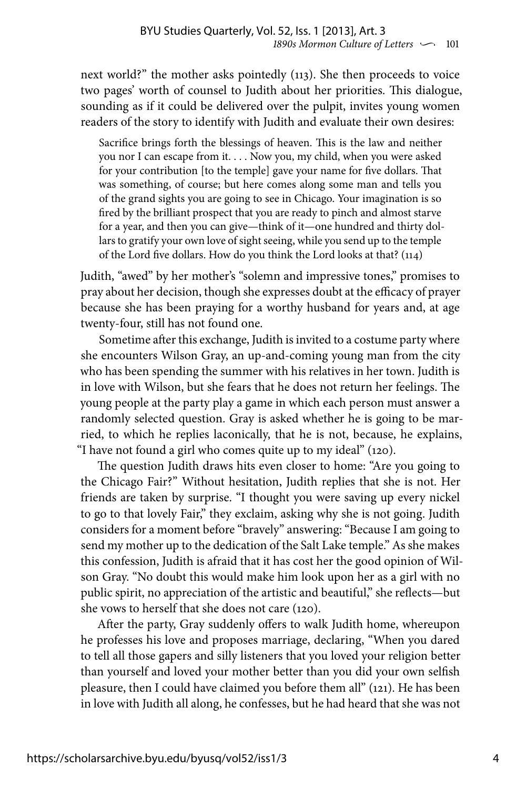next world?" the mother asks pointedly (113). She then proceeds to voice two pages' worth of counsel to Judith about her priorities. This dialogue, sounding as if it could be delivered over the pulpit, invites young women readers of the story to identify with Judith and evaluate their own desires:

Sacrifice brings forth the blessings of heaven. This is the law and neither you nor I can escape from it. . . . Now you, my child, when you were asked for your contribution [to the temple] gave your name for five dollars. That was something, of course; but here comes along some man and tells you of the grand sights you are going to see in Chicago. Your imagination is so fired by the brilliant prospect that you are ready to pinch and almost starve for a year, and then you can give—think of it—one hundred and thirty dollars to gratify your own love of sight seeing, while you send up to the temple of the Lord five dollars. How do you think the Lord looks at that? (114)

Judith, "awed" by her mother's "solemn and impressive tones," promises to pray about her decision, though she expresses doubt at the efficacy of prayer because she has been praying for a worthy husband for years and, at age twenty-four, still has not found one.

Sometime after this exchange, Judith is invited to a costume party where she encounters Wilson Gray, an up-and-coming young man from the city who has been spending the summer with his relatives in her town. Judith is in love with Wilson, but she fears that he does not return her feelings. The young people at the party play a game in which each person must answer a randomly selected question. Gray is asked whether he is going to be married, to which he replies laconically, that he is not, because, he explains, "I have not found a girl who comes quite up to my ideal" (120).

The question Judith draws hits even closer to home: "Are you going to the Chicago Fair?" Without hesitation, Judith replies that she is not. Her friends are taken by surprise. "I thought you were saving up every nickel to go to that lovely Fair," they exclaim, asking why she is not going. Judith considers for a moment before "bravely" answering: "Because I am going to send my mother up to the dedication of the Salt Lake temple." As she makes this confession, Judith is afraid that it has cost her the good opinion of Wilson Gray. "No doubt this would make him look upon her as a girl with no public spirit, no appreciation of the artistic and beautiful," she reflects—but she vows to herself that she does not care (120).

After the party, Gray suddenly offers to walk Judith home, whereupon he professes his love and proposes marriage, declaring, "When you dared to tell all those gapers and silly listeners that you loved your religion better than yourself and loved your mother better than you did your own selfish pleasure, then I could have claimed you before them all" (121). He has been in love with Judith all along, he confesses, but he had heard that she was not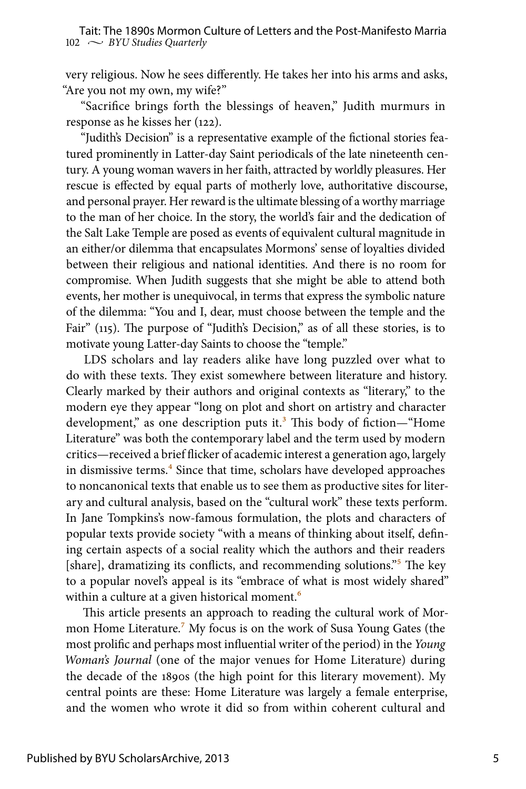very religious. Now he sees differently. He takes her into his arms and asks, "Are you not my own, my wife?"

"Sacrifice brings forth the blessings of heaven," Judith murmurs in response as he kisses her (122).

"Judith's Decision" is a representative example of the fictional stories featured prominently in Latter-day Saint periodicals of the late nineteenth century. A young woman wavers in her faith, attracted by worldly pleasures. Her rescue is effected by equal parts of motherly love, authoritative discourse, and personal prayer. Her reward is the ultimate blessing of a worthy marriage to the man of her choice. In the story, the world's fair and the dedication of the Salt Lake Temple are posed as events of equivalent cultural magnitude in an either/or dilemma that encapsulates Mormons' sense of loyalties divided between their religious and national identities. And there is no room for compromise. When Judith suggests that she might be able to attend both events, her mother is unequivocal, in terms that express the symbolic nature of the dilemma: "You and I, dear, must choose between the temple and the Fair" (115). The purpose of "Judith's Decision," as of all these stories, is to motivate young Latter-day Saints to choose the "temple."

LDS scholars and lay readers alike have long puzzled over what to do with these texts. They exist somewhere between literature and history. Clearly marked by their authors and original contexts as "literary," to the modern eye they appear "long on plot and short on artistry and character development," as one description puts it.<sup>3</sup> This body of fiction—"Home Literature" was both the contemporary label and the term used by modern critics—received a brief flicker of academic interest a generation ago, largely in dismissive terms.<sup>4</sup> Since that time, scholars have developed approaches to noncanonical texts that enable us to see them as productive sites for literary and cultural analysis, based on the "cultural work" these texts perform. In Jane Tompkins's now-famous formulation, the plots and characters of popular texts provide society "with a means of thinking about itself, defining certain aspects of a social reality which the authors and their readers [share], dramatizing its conflicts, and recommending solutions."<sup>5</sup> The key to a popular novel's appeal is its "embrace of what is most widely shared" within a culture at a given historical moment.<sup>6</sup>

This article presents an approach to reading the cultural work of Mormon Home Literature.7 My focus is on the work of Susa Young Gates (the most prolific and perhaps most influential writer of the period) in the *Young Woman's Journal* (one of the major venues for Home Literature) during the decade of the 1890s (the high point for this literary movement). My central points are these: Home Literature was largely a female enterprise, and the women who wrote it did so from within coherent cultural and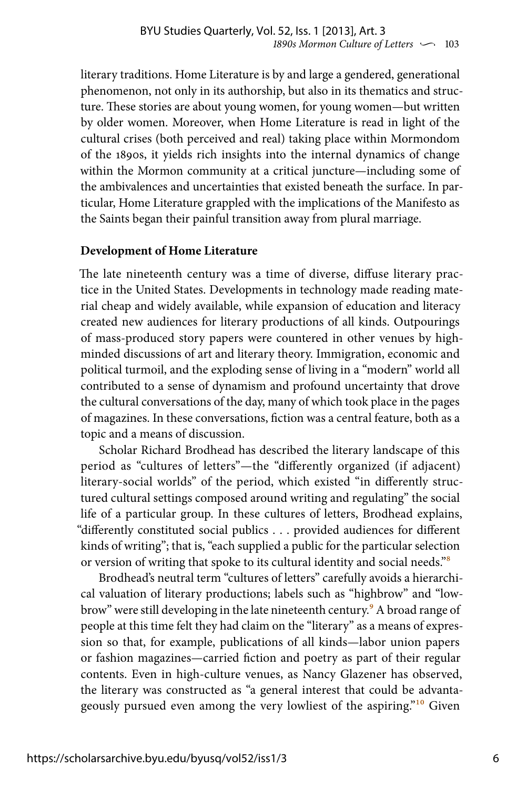literary traditions. Home Literature is by and large a gendered, generational phenomenon, not only in its authorship, but also in its thematics and structure. These stories are about young women, for young women—but written by older women. Moreover, when Home Literature is read in light of the cultural crises (both perceived and real) taking place within Mormondom of the 1890s, it yields rich insights into the internal dynamics of change within the Mormon community at a critical juncture—including some of the ambivalences and uncertainties that existed beneath the surface. In particular, Home Literature grappled with the implications of the Manifesto as the Saints began their painful transition away from plural marriage.

#### **Development of Home Literature**

The late nineteenth century was a time of diverse, diffuse literary practice in the United States. Developments in technology made reading material cheap and widely available, while expansion of education and literacy created new audiences for literary productions of all kinds. Outpourings of mass-produced story papers were countered in other venues by highminded discussions of art and literary theory. Immigration, economic and political turmoil, and the exploding sense of living in a "modern" world all contributed to a sense of dynamism and profound uncertainty that drove the cultural conversations of the day, many of which took place in the pages of magazines. In these conversations, fiction was a central feature, both as a topic and a means of discussion.

Scholar Richard Brodhead has described the literary landscape of this period as "cultures of letters"—the "differently organized (if adjacent) literary-social worlds" of the period, which existed "in differently structured cultural settings composed around writing and regulating" the social life of a particular group. In these cultures of letters, Brodhead explains, "differently constituted social publics . . . provided audiences for different kinds of writing"; that is, "each supplied a public for the particular selection or version of writing that spoke to its cultural identity and social needs."8

Brodhead's neutral term "cultures of letters" carefully avoids a hierarchical valuation of literary productions; labels such as "highbrow" and "lowbrow" were still developing in the late nineteenth century.<sup>9</sup> A broad range of people at this time felt they had claim on the "literary" as a means of expression so that, for example, publications of all kinds—labor union papers or fashion magazines—carried fiction and poetry as part of their regular contents. Even in high-culture venues, as Nancy Glazener has observed, the literary was constructed as "a general interest that could be advantageously pursued even among the very lowliest of the aspiring."<sup>10</sup> Given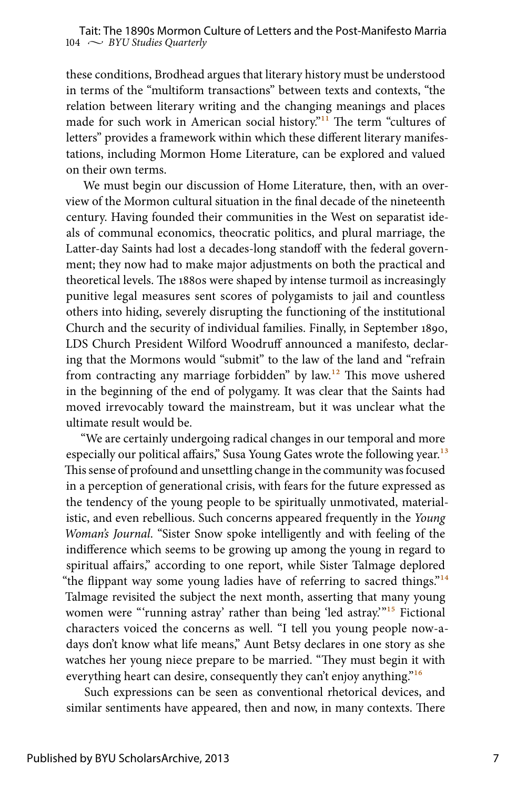these conditions, Brodhead argues that literary history must be understood in terms of the "multiform transactions" between texts and contexts, "the relation between literary writing and the changing meanings and places made for such work in American social history."<sup>11</sup> The term "cultures of letters" provides a framework within which these different literary manifestations, including Mormon Home Literature, can be explored and valued on their own terms.

We must begin our discussion of Home Literature, then, with an overview of the Mormon cultural situation in the final decade of the nineteenth century. Having founded their communities in the West on separatist ideals of communal economics, theocratic politics, and plural marriage, the Latter-day Saints had lost a decades-long standoff with the federal government; they now had to make major adjustments on both the practical and theoretical levels. The 1880s were shaped by intense turmoil as increasingly punitive legal measures sent scores of polygamists to jail and countless others into hiding, severely disrupting the functioning of the institutional Church and the security of individual families. Finally, in September 1890, LDS Church President Wilford Woodruff announced a manifesto, declaring that the Mormons would "submit" to the law of the land and "refrain from contracting any marriage forbidden" by law.12 This move ushered in the beginning of the end of polygamy. It was clear that the Saints had moved irrevocably toward the mainstream, but it was unclear what the ultimate result would be.

"We are certainly undergoing radical changes in our temporal and more especially our political affairs," Susa Young Gates wrote the following year.<sup>13</sup> This sense of profound and unsettling change in the community was focused in a perception of generational crisis, with fears for the future expressed as the tendency of the young people to be spiritually unmotivated, materialistic, and even rebellious. Such concerns appeared frequently in the *Young Woman's Journal*. "Sister Snow spoke intelligently and with feeling of the indifference which seems to be growing up among the young in regard to spiritual affairs," according to one report, while Sister Talmage deplored "the flippant way some young ladies have of referring to sacred things."<sup>14</sup> Talmage revisited the subject the next month, asserting that many young women were "'running astray' rather than being 'led astray.'"15 Fictional characters voiced the concerns as well. "I tell you young people now-adays don't know what life means," Aunt Betsy declares in one story as she watches her young niece prepare to be married. "They must begin it with everything heart can desire, consequently they can't enjoy anything."<sup>16</sup>

Such expressions can be seen as conventional rhetorical devices, and similar sentiments have appeared, then and now, in many contexts. There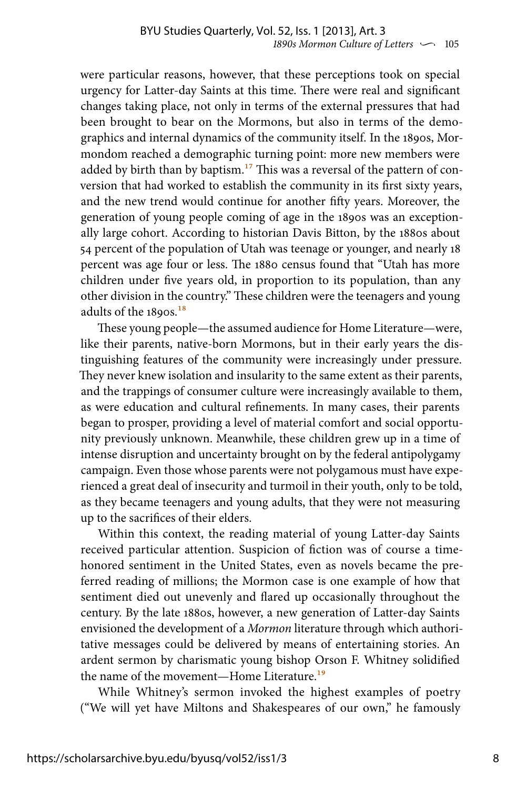were particular reasons, however, that these perceptions took on special urgency for Latter-day Saints at this time. There were real and significant changes taking place, not only in terms of the external pressures that had been brought to bear on the Mormons, but also in terms of the demographics and internal dynamics of the community itself. In the 1890s, Mormondom reached a demographic turning point: more new members were added by birth than by baptism.<sup>17</sup> This was a reversal of the pattern of conversion that had worked to establish the community in its first sixty years, and the new trend would continue for another fifty years. Moreover, the generation of young people coming of age in the 1890s was an exceptionally large cohort. According to historian Davis Bitton, by the 1880s about 54 percent of the population of Utah was teenage or younger, and nearly 18 percent was age four or less. The 1880 census found that "Utah has more children under five years old, in proportion to its population, than any other division in the country." These children were the teenagers and young adults of the 1890s.<sup>18</sup>

These young people—the assumed audience for Home Literature—were, like their parents, native-born Mormons, but in their early years the distinguishing features of the community were increasingly under pressure. They never knew isolation and insularity to the same extent as their parents, and the trappings of consumer culture were increasingly available to them, as were education and cultural refinements. In many cases, their parents began to prosper, providing a level of material comfort and social opportunity previously unknown. Meanwhile, these children grew up in a time of intense disruption and uncertainty brought on by the federal antipolygamy campaign. Even those whose parents were not polygamous must have experienced a great deal of insecurity and turmoil in their youth, only to be told, as they became teenagers and young adults, that they were not measuring up to the sacrifices of their elders.

Within this context, the reading material of young Latter-day Saints received particular attention. Suspicion of fiction was of course a timehonored sentiment in the United States, even as novels became the preferred reading of millions; the Mormon case is one example of how that sentiment died out unevenly and flared up occasionally throughout the century. By the late 1880s, however, a new generation of Latter-day Saints envisioned the development of a *Mormon* literature through which authoritative messages could be delivered by means of entertaining stories. An ardent sermon by charismatic young bishop Orson F. Whitney solidified the name of the movement—Home Literature.<sup>19</sup>

While Whitney's sermon invoked the highest examples of poetry ("We will yet have Miltons and Shakespeares of our own," he famously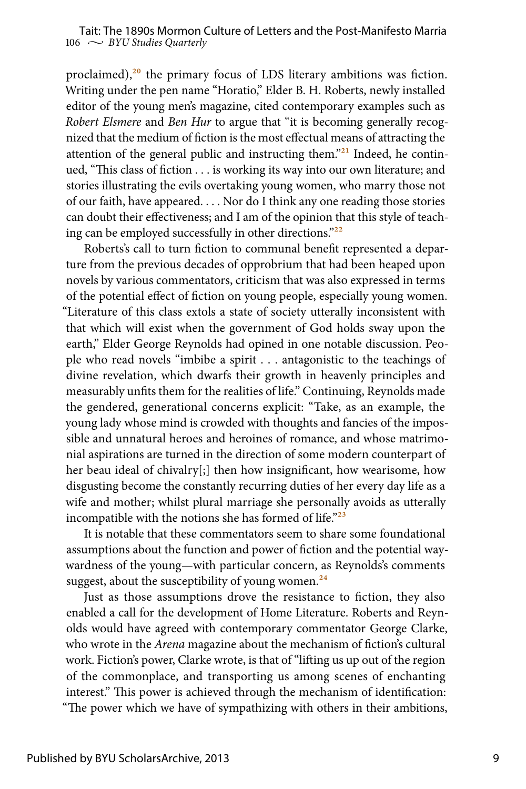proclaimed), $20$  the primary focus of LDS literary ambitions was fiction. Writing under the pen name "Horatio," Elder B. H. Roberts, newly installed editor of the young men's magazine, cited contemporary examples such as *Robert Elsmere* and *Ben Hur* to argue that "it is becoming generally recognized that the medium of fiction is the most effectual means of attracting the attention of the general public and instructing them."21 Indeed, he continued, "This class of fiction . . . is working its way into our own literature; and stories illustrating the evils overtaking young women, who marry those not of our faith, have appeared. . . . Nor do I think any one reading those stories can doubt their effectiveness; and I am of the opinion that this style of teaching can be employed successfully in other directions."22

Roberts's call to turn fiction to communal benefit represented a departure from the previous decades of opprobrium that had been heaped upon novels by various commentators, criticism that was also expressed in terms of the potential effect of fiction on young people, especially young women. "Literature of this class extols a state of society utterally inconsistent with that which will exist when the government of God holds sway upon the earth," Elder George Reynolds had opined in one notable discussion. People who read novels "imbibe a spirit . . . antagonistic to the teachings of divine revelation, which dwarfs their growth in heavenly principles and measurably unfits them for the realities of life." Continuing, Reynolds made the gendered, generational concerns explicit: "Take, as an example, the young lady whose mind is crowded with thoughts and fancies of the impossible and unnatural heroes and heroines of romance, and whose matrimonial aspirations are turned in the direction of some modern counterpart of her beau ideal of chivalry[;] then how insignificant, how wearisome, how disgusting become the constantly recurring duties of her every day life as a wife and mother; whilst plural marriage she personally avoids as utterally incompatible with the notions she has formed of life." $23$ 

It is notable that these commentators seem to share some foundational assumptions about the function and power of fiction and the potential waywardness of the young—with particular concern, as Reynolds's comments suggest, about the susceptibility of young women. $^{24}$ 

Just as those assumptions drove the resistance to fiction, they also enabled a call for the development of Home Literature. Roberts and Reynolds would have agreed with contemporary commentator George Clarke, who wrote in the *Arena* magazine about the mechanism of fiction's cultural work. Fiction's power, Clarke wrote, is that of "lifting us up out of the region of the commonplace, and transporting us among scenes of enchanting interest." This power is achieved through the mechanism of identification: "The power which we have of sympathizing with others in their ambitions,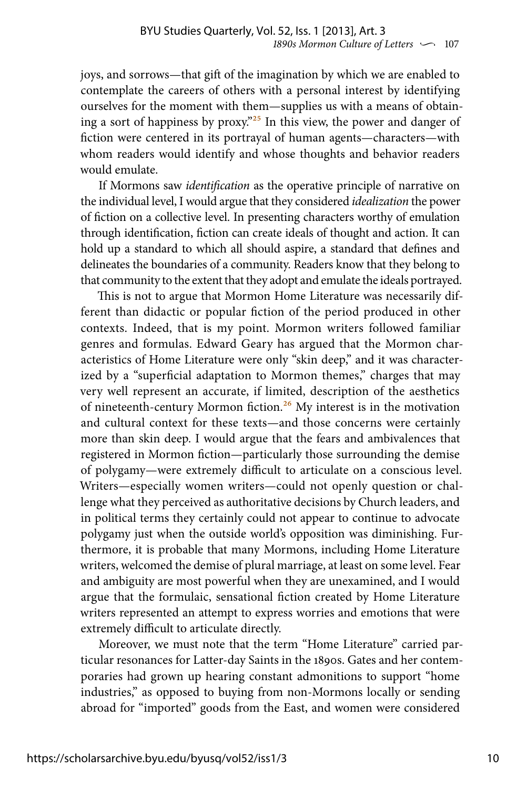joys, and sorrows—that gift of the imagination by which we are enabled to contemplate the careers of others with a personal interest by identifying ourselves for the moment with them—supplies us with a means of obtaining a sort of happiness by proxy."25 In this view, the power and danger of fiction were centered in its portrayal of human agents—characters—with whom readers would identify and whose thoughts and behavior readers would emulate.

If Mormons saw *identification* as the operative principle of narrative on the individual level, I would argue that they considered *idealization* the power of fiction on a collective level. In presenting characters worthy of emulation through identification, fiction can create ideals of thought and action. It can hold up a standard to which all should aspire, a standard that defines and delineates the boundaries of a community. Readers know that they belong to that community to the extent that they adopt and emulate the ideals portrayed.

This is not to argue that Mormon Home Literature was necessarily different than didactic or popular fiction of the period produced in other contexts. Indeed, that is my point. Mormon writers followed familiar genres and formulas. Edward Geary has argued that the Mormon characteristics of Home Literature were only "skin deep," and it was characterized by a "superficial adaptation to Mormon themes," charges that may very well represent an accurate, if limited, description of the aesthetics of nineteenth-century Mormon fiction.<sup>26</sup> My interest is in the motivation and cultural context for these texts—and those concerns were certainly more than skin deep. I would argue that the fears and ambivalences that registered in Mormon fiction—particularly those surrounding the demise of polygamy—were extremely difficult to articulate on a conscious level. Writers—especially women writers—could not openly question or challenge what they perceived as authoritative decisions by Church leaders, and in political terms they certainly could not appear to continue to advocate polygamy just when the outside world's opposition was diminishing. Furthermore, it is probable that many Mormons, including Home Literature writers, welcomed the demise of plural marriage, at least on some level. Fear and ambiguity are most powerful when they are unexamined, and I would argue that the formulaic, sensational fiction created by Home Literature writers represented an attempt to express worries and emotions that were extremely difficult to articulate directly.

Moreover, we must note that the term "Home Literature" carried particular resonances for Latter-day Saints in the 1890s. Gates and her contemporaries had grown up hearing constant admonitions to support "home industries," as opposed to buying from non-Mormons locally or sending abroad for "imported" goods from the East, and women were considered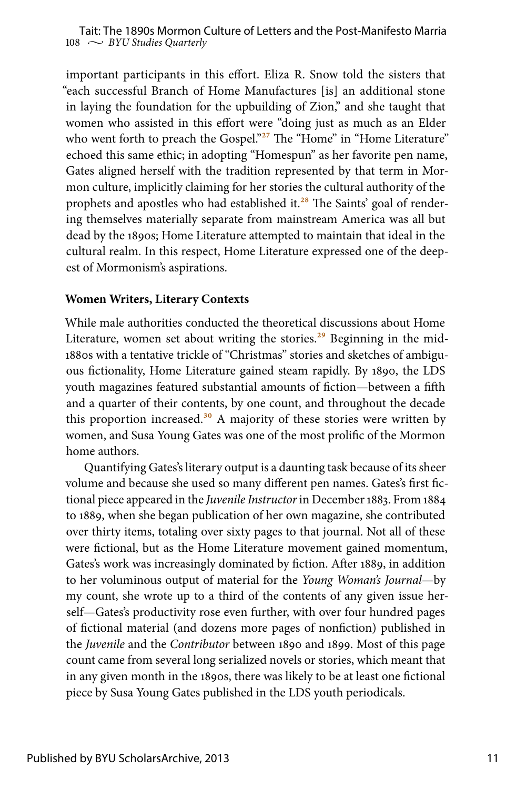important participants in this effort. Eliza R. Snow told the sisters that "each successful Branch of Home Manufactures [is] an additional stone in laying the foundation for the upbuilding of Zion," and she taught that women who assisted in this effort were "doing just as much as an Elder who went forth to preach the Gospel."<sup>27</sup> The "Home" in "Home Literature" echoed this same ethic; in adopting "Homespun" as her favorite pen name, Gates aligned herself with the tradition represented by that term in Mormon culture, implicitly claiming for her stories the cultural authority of the prophets and apostles who had established it.<sup>28</sup> The Saints' goal of rendering themselves materially separate from mainstream America was all but dead by the 1890s; Home Literature attempted to maintain that ideal in the cultural realm. In this respect, Home Literature expressed one of the deepest of Mormonism's aspirations.

#### **Women Writers, Literary Contexts**

While male authorities conducted the theoretical discussions about Home Literature, women set about writing the stories.<sup>29</sup> Beginning in the mid-1880s with a tentative trickle of "Christmas" stories and sketches of ambiguous fictionality, Home Literature gained steam rapidly. By 1890, the LDS youth magazines featured substantial amounts of fiction—between a fifth and a quarter of their contents, by one count, and throughout the decade this proportion increased.<sup>30</sup> A majority of these stories were written by women, and Susa Young Gates was one of the most prolific of the Mormon home authors.

Quantifying Gates's literary output is a daunting task because of its sheer volume and because she used so many different pen names. Gates's first fictional piece appeared in the *Juvenile Instructor* in December 1883. From 1884 to 1889, when she began publication of her own magazine, she contributed over thirty items, totaling over sixty pages to that journal. Not all of these were fictional, but as the Home Literature movement gained momentum, Gates's work was increasingly dominated by fiction. After 1889, in addition to her voluminous output of material for the *Young Woman's Journal*—by my count, she wrote up to a third of the contents of any given issue herself—Gates's productivity rose even further, with over four hundred pages of fictional material (and dozens more pages of nonfiction) published in the *Juvenile* and the *Contributor* between 1890 and 1899. Most of this page count came from several long serialized novels or stories, which meant that in any given month in the 1890s, there was likely to be at least one fictional piece by Susa Young Gates published in the LDS youth periodicals.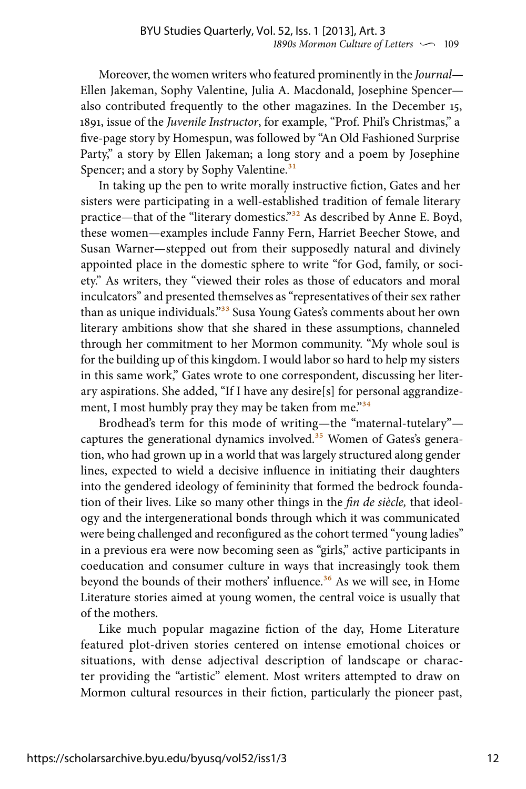Moreover, the women writers who featured prominently in the *Journal*— Ellen Jakeman, Sophy Valentine, Julia A. Macdonald, Josephine Spencer also contributed frequently to the other magazines. In the December 15, 1891, issue of the *Juvenile Instructor*, for example, "Prof. Phil's Christmas," a five-page story by Homespun, was followed by "An Old Fashioned Surprise Party," a story by Ellen Jakeman; a long story and a poem by Josephine Spencer; and a story by Sophy Valentine.<sup>31</sup>

In taking up the pen to write morally instructive fiction, Gates and her sisters were participating in a well-established tradition of female literary practice—that of the "literary domestics."<sup>32</sup> As described by Anne E. Boyd, these women—examples include Fanny Fern, Harriet Beecher Stowe, and Susan Warner—stepped out from their supposedly natural and divinely appointed place in the domestic sphere to write "for God, family, or society." As writers, they "viewed their roles as those of educators and moral inculcators" and presented themselves as "representatives of their sex rather than as unique individuals."<sup>33</sup> Susa Young Gates's comments about her own literary ambitions show that she shared in these assumptions, channeled through her commitment to her Mormon community. "My whole soul is for the building up of this kingdom. I would labor so hard to help my sisters in this same work," Gates wrote to one correspondent, discussing her literary aspirations. She added, "If I have any desire[s] for personal aggrandizement, I most humbly pray they may be taken from me."<sup>34</sup>

Brodhead's term for this mode of writing—the "maternal-tutelary" captures the generational dynamics involved.<sup>35</sup> Women of Gates's generation, who had grown up in a world that was largely structured along gender lines, expected to wield a decisive influence in initiating their daughters into the gendered ideology of femininity that formed the bedrock foundation of their lives. Like so many other things in the *fin de siècle,* that ideology and the intergenerational bonds through which it was communicated were being challenged and reconfigured as the cohort termed "young ladies" in a previous era were now becoming seen as "girls," active participants in coeducation and consumer culture in ways that increasingly took them beyond the bounds of their mothers' influence.<sup>36</sup> As we will see, in Home Literature stories aimed at young women, the central voice is usually that of the mothers.

Like much popular magazine fiction of the day, Home Literature featured plot-driven stories centered on intense emotional choices or situations, with dense adjectival description of landscape or character providing the "artistic" element. Most writers attempted to draw on Mormon cultural resources in their fiction, particularly the pioneer past,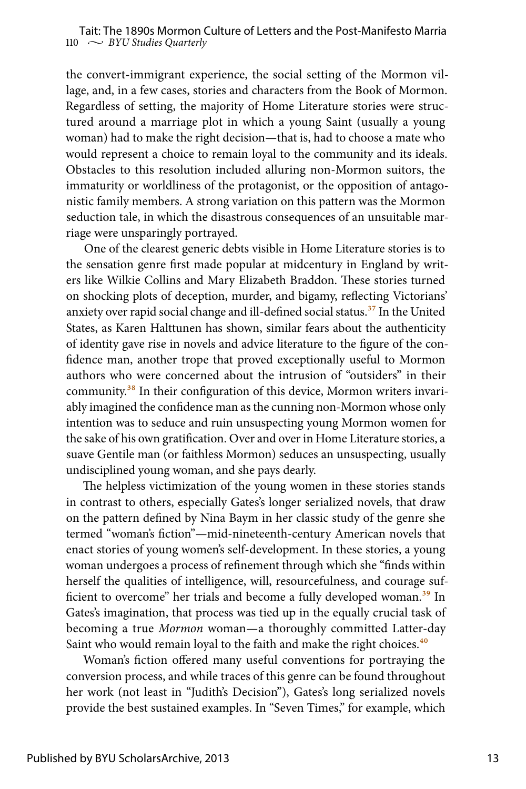the convert-immigrant experience, the social setting of the Mormon village, and, in a few cases, stories and characters from the Book of Mormon. Regardless of setting, the majority of Home Literature stories were structured around a marriage plot in which a young Saint (usually a young woman) had to make the right decision—that is, had to choose a mate who would represent a choice to remain loyal to the community and its ideals. Obstacles to this resolution included alluring non-Mormon suitors, the immaturity or worldliness of the protagonist, or the opposition of antagonistic family members. A strong variation on this pattern was the Mormon seduction tale, in which the disastrous consequences of an unsuitable marriage were unsparingly portrayed.

One of the clearest generic debts visible in Home Literature stories is to the sensation genre first made popular at midcentury in England by writers like Wilkie Collins and Mary Elizabeth Braddon. These stories turned on shocking plots of deception, murder, and bigamy, reflecting Victorians' anxiety over rapid social change and ill-defined social status.<sup>37</sup> In the United States, as Karen Halttunen has shown, similar fears about the authenticity of identity gave rise in novels and advice literature to the figure of the confidence man, another trope that proved exceptionally useful to Mormon authors who were concerned about the intrusion of "outsiders" in their community.<sup>38</sup> In their configuration of this device, Mormon writers invariably imagined the confidence man as the cunning non-Mormon whose only intention was to seduce and ruin unsuspecting young Mormon women for the sake of his own gratification. Over and over in Home Literature stories, a suave Gentile man (or faithless Mormon) seduces an unsuspecting, usually undisciplined young woman, and she pays dearly.

The helpless victimization of the young women in these stories stands in contrast to others, especially Gates's longer serialized novels, that draw on the pattern defined by Nina Baym in her classic study of the genre she termed "woman's fiction"—mid-nineteenth-century American novels that enact stories of young women's self-development. In these stories, a young woman undergoes a process of refinement through which she "finds within herself the qualities of intelligence, will, resourcefulness, and courage sufficient to overcome" her trials and become a fully developed woman.<sup>39</sup> In Gates's imagination, that process was tied up in the equally crucial task of becoming a true *Mormon* woman—a thoroughly committed Latter-day Saint who would remain loyal to the faith and make the right choices.<sup>40</sup>

Woman's fiction offered many useful conventions for portraying the conversion process, and while traces of this genre can be found throughout her work (not least in "Judith's Decision"), Gates's long serialized novels provide the best sustained examples. In "Seven Times," for example, which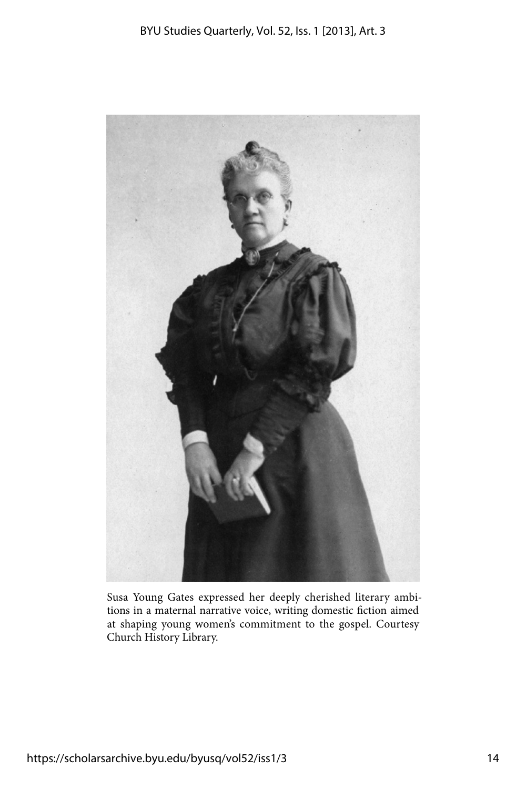

Susa Young Gates expressed her deeply cherished literary ambitions in a maternal narrative voice, writing domestic fiction aimed at shaping young women's commitment to the gospel. Courtesy Church History Library.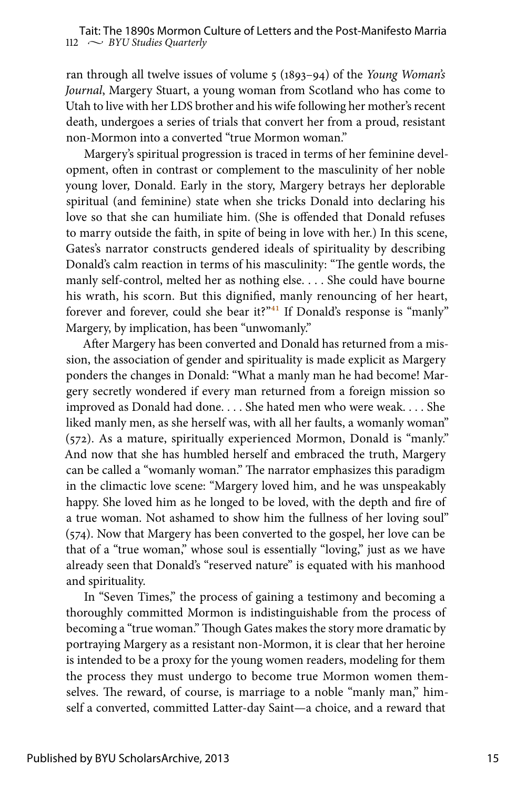ran through all twelve issues of volume 5 (1893–94) of the *Young Woman's Journal*, Margery Stuart, a young woman from Scotland who has come to Utah to live with her LDS brother and his wife following her mother's recent death, undergoes a series of trials that convert her from a proud, resistant non-Mormon into a converted "true Mormon woman."

Margery's spiritual progression is traced in terms of her feminine development, often in contrast or complement to the masculinity of her noble young lover, Donald. Early in the story, Margery betrays her deplorable spiritual (and feminine) state when she tricks Donald into declaring his love so that she can humiliate him. (She is offended that Donald refuses to marry outside the faith, in spite of being in love with her.) In this scene, Gates's narrator constructs gendered ideals of spirituality by describing Donald's calm reaction in terms of his masculinity: "The gentle words, the manly self-control, melted her as nothing else. . . . She could have bourne his wrath, his scorn. But this dignified, manly renouncing of her heart, forever and forever, could she bear it?"<sup>41</sup> If Donald's response is "manly" Margery, by implication, has been "unwomanly."

After Margery has been converted and Donald has returned from a mission, the association of gender and spirituality is made explicit as Margery ponders the changes in Donald: "What a manly man he had become! Margery secretly wondered if every man returned from a foreign mission so improved as Donald had done. . . . She hated men who were weak. . . . She liked manly men, as she herself was, with all her faults, a womanly woman" (572). As a mature, spiritually experienced Mormon, Donald is "manly." And now that she has humbled herself and embraced the truth, Margery can be called a "womanly woman." The narrator emphasizes this paradigm in the climactic love scene: "Margery loved him, and he was unspeakably happy. She loved him as he longed to be loved, with the depth and fire of a true woman. Not ashamed to show him the fullness of her loving soul" (574). Now that Margery has been converted to the gospel, her love can be that of a "true woman," whose soul is essentially "loving," just as we have already seen that Donald's "reserved nature" is equated with his manhood and spirituality.

In "Seven Times," the process of gaining a testimony and becoming a thoroughly committed Mormon is indistinguishable from the process of becoming a "true woman." Though Gates makes the story more dramatic by portraying Margery as a resistant non-Mormon, it is clear that her heroine is intended to be a proxy for the young women readers, modeling for them the process they must undergo to become true Mormon women themselves. The reward, of course, is marriage to a noble "manly man," himself a converted, committed Latter-day Saint—a choice, and a reward that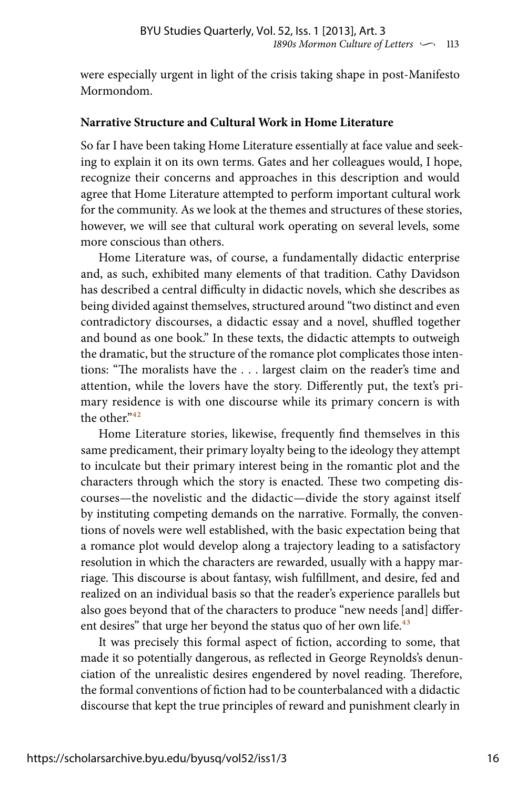were especially urgent in light of the crisis taking shape in post-Manifesto Mormondom.

#### **Narrative Structure and Cultural Work in Home Literature**

So far I have been taking Home Literature essentially at face value and seeking to explain it on its own terms. Gates and her colleagues would, I hope, recognize their concerns and approaches in this description and would agree that Home Literature attempted to perform important cultural work for the community. As we look at the themes and structures of these stories, however, we will see that cultural work operating on several levels, some more conscious than others.

Home Literature was, of course, a fundamentally didactic enterprise and, as such, exhibited many elements of that tradition. Cathy Davidson has described a central difficulty in didactic novels, which she describes as being divided against themselves, structured around "two distinct and even contradictory discourses, a didactic essay and a novel, shuffled together and bound as one book." In these texts, the didactic attempts to outweigh the dramatic, but the structure of the romance plot complicates those intentions: "The moralists have the . . . largest claim on the reader's time and attention, while the lovers have the story. Differently put, the text's primary residence is with one discourse while its primary concern is with the other."<sup>42</sup>

Home Literature stories, likewise, frequently find themselves in this same predicament, their primary loyalty being to the ideology they attempt to inculcate but their primary interest being in the romantic plot and the characters through which the story is enacted. These two competing discourses—the novelistic and the didactic—divide the story against itself by instituting competing demands on the narrative. Formally, the conventions of novels were well established, with the basic expectation being that a romance plot would develop along a trajectory leading to a satisfactory resolution in which the characters are rewarded, usually with a happy marriage. This discourse is about fantasy, wish fulfillment, and desire, fed and realized on an individual basis so that the reader's experience parallels but also goes beyond that of the characters to produce "new needs [and] different desires" that urge her beyond the status quo of her own life.<sup>43</sup>

It was precisely this formal aspect of fiction, according to some, that made it so potentially dangerous, as reflected in George Reynolds's denunciation of the unrealistic desires engendered by novel reading. Therefore, the formal conventions of fiction had to be counterbalanced with a didactic discourse that kept the true principles of reward and punishment clearly in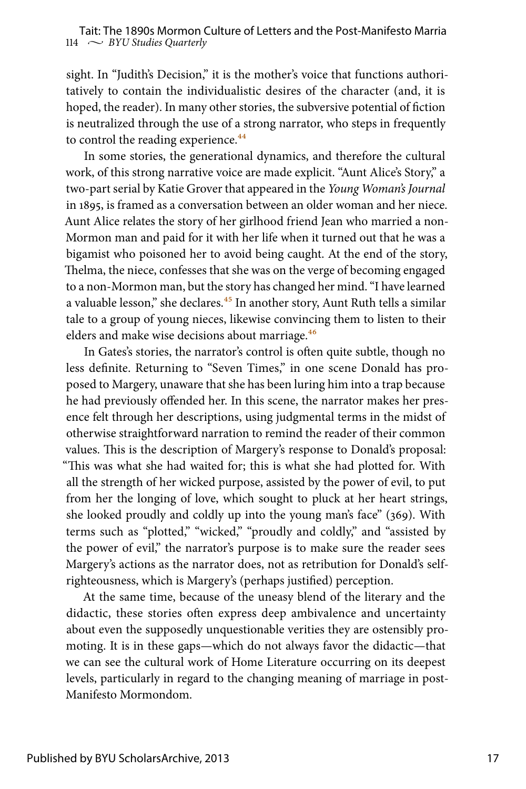sight. In "Judith's Decision," it is the mother's voice that functions authoritatively to contain the individualistic desires of the character (and, it is hoped, the reader). In many other stories, the subversive potential of fiction is neutralized through the use of a strong narrator, who steps in frequently to control the reading experience.<sup>44</sup>

In some stories, the generational dynamics, and therefore the cultural work, of this strong narrative voice are made explicit. "Aunt Alice's Story," a two-part serial by Katie Grover that appeared in the *Young Woman's Journal* in 1895, is framed as a conversation between an older woman and her niece. Aunt Alice relates the story of her girlhood friend Jean who married a non-Mormon man and paid for it with her life when it turned out that he was a bigamist who poisoned her to avoid being caught. At the end of the story, Thelma, the niece, confesses that she was on the verge of becoming engaged to a non-Mormon man, but the story has changed her mind. "I have learned a valuable lesson," she declares.<sup>45</sup> In another story, Aunt Ruth tells a similar tale to a group of young nieces, likewise convincing them to listen to their elders and make wise decisions about marriage.<sup>46</sup>

In Gates's stories, the narrator's control is often quite subtle, though no less definite. Returning to "Seven Times," in one scene Donald has proposed to Margery, unaware that she has been luring him into a trap because he had previously offended her. In this scene, the narrator makes her presence felt through her descriptions, using judgmental terms in the midst of otherwise straightforward narration to remind the reader of their common values. This is the description of Margery's response to Donald's proposal: "This was what she had waited for; this is what she had plotted for. With all the strength of her wicked purpose, assisted by the power of evil, to put from her the longing of love, which sought to pluck at her heart strings, she looked proudly and coldly up into the young man's face" (369). With terms such as "plotted," "wicked," "proudly and coldly," and "assisted by the power of evil," the narrator's purpose is to make sure the reader sees Margery's actions as the narrator does, not as retribution for Donald's selfrighteousness, which is Margery's (perhaps justified) perception.

At the same time, because of the uneasy blend of the literary and the didactic, these stories often express deep ambivalence and uncertainty about even the supposedly unquestionable verities they are ostensibly promoting. It is in these gaps—which do not always favor the didactic—that we can see the cultural work of Home Literature occurring on its deepest levels, particularly in regard to the changing meaning of marriage in post-Manifesto Mormondom.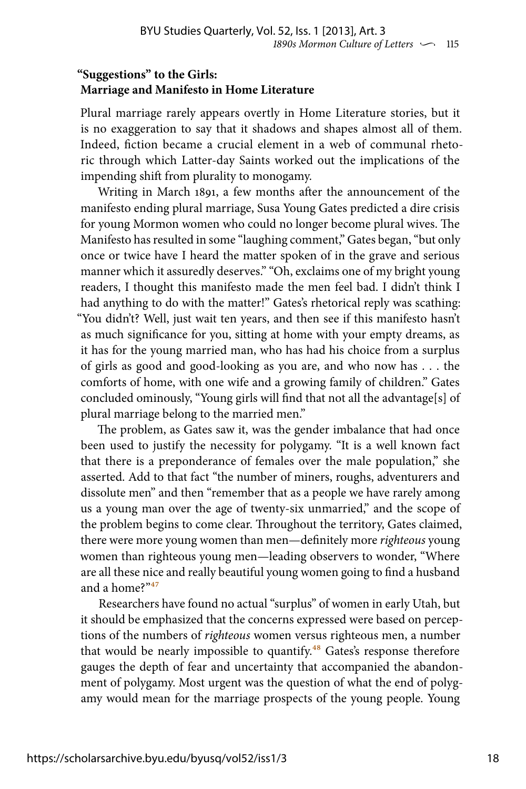### **"Suggestions" to the Girls: Marriage and Manifesto in Home Literature**

Plural marriage rarely appears overtly in Home Literature stories, but it is no exaggeration to say that it shadows and shapes almost all of them. Indeed, fiction became a crucial element in a web of communal rhetoric through which Latter-day Saints worked out the implications of the impending shift from plurality to monogamy.

Writing in March 1891, a few months after the announcement of the manifesto ending plural marriage, Susa Young Gates predicted a dire crisis for young Mormon women who could no longer become plural wives. The Manifesto has resulted in some "laughing comment," Gates began, "but only once or twice have I heard the matter spoken of in the grave and serious manner which it assuredly deserves." "Oh, exclaims one of my bright young readers, I thought this manifesto made the men feel bad. I didn't think I had anything to do with the matter!" Gates's rhetorical reply was scathing: "You didn't? Well, just wait ten years, and then see if this manifesto hasn't as much significance for you, sitting at home with your empty dreams, as it has for the young married man, who has had his choice from a surplus of girls as good and good-looking as you are, and who now has . . . the comforts of home, with one wife and a growing family of children." Gates concluded ominously, "Young girls will find that not all the advantage[s] of plural marriage belong to the married men."

The problem, as Gates saw it, was the gender imbalance that had once been used to justify the necessity for polygamy. "It is a well known fact that there is a preponderance of females over the male population," she asserted. Add to that fact "the number of miners, roughs, adventurers and dissolute men" and then "remember that as a people we have rarely among us a young man over the age of twenty-six unmarried," and the scope of the problem begins to come clear. Throughout the territory, Gates claimed, there were more young women than men—definitely more *righteous* young women than righteous young men—leading observers to wonder, "Where are all these nice and really beautiful young women going to find a husband and a home?"47

Researchers have found no actual "surplus" of women in early Utah, but it should be emphasized that the concerns expressed were based on perceptions of the numbers of *righteous* women versus righteous men, a number that would be nearly impossible to quantify.<sup>48</sup> Gates's response therefore gauges the depth of fear and uncertainty that accompanied the abandonment of polygamy. Most urgent was the question of what the end of polygamy would mean for the marriage prospects of the young people. Young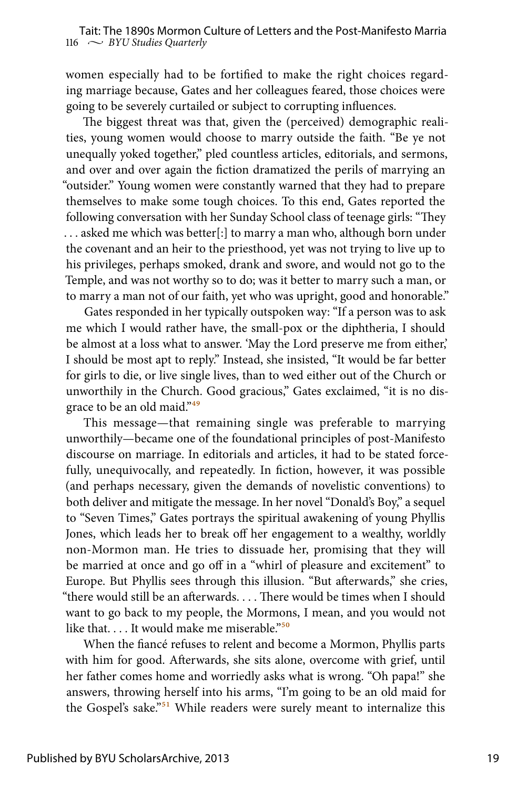women especially had to be fortified to make the right choices regarding marriage because, Gates and her colleagues feared, those choices were going to be severely curtailed or subject to corrupting influences.

The biggest threat was that, given the (perceived) demographic realities, young women would choose to marry outside the faith. "Be ye not unequally yoked together," pled countless articles, editorials, and sermons, and over and over again the fiction dramatized the perils of marrying an "outsider." Young women were constantly warned that they had to prepare themselves to make some tough choices. To this end, Gates reported the following conversation with her Sunday School class of teenage girls: "They . . . asked me which was better[:] to marry a man who, although born under the covenant and an heir to the priesthood, yet was not trying to live up to his privileges, perhaps smoked, drank and swore, and would not go to the Temple, and was not worthy so to do; was it better to marry such a man, or to marry a man not of our faith, yet who was upright, good and honorable."

Gates responded in her typically outspoken way: "If a person was to ask me which I would rather have, the small-pox or the diphtheria, I should be almost at a loss what to answer. 'May the Lord preserve me from either,' I should be most apt to reply." Instead, she insisted, "It would be far better for girls to die, or live single lives, than to wed either out of the Church or unworthily in the Church. Good gracious," Gates exclaimed, "it is no disgrace to be an old maid."<sup>49</sup>

This message—that remaining single was preferable to marrying unworthily—became one of the foundational principles of post-Manifesto discourse on marriage. In editorials and articles, it had to be stated forcefully, unequivocally, and repeatedly. In fiction, however, it was possible (and perhaps necessary, given the demands of novelistic conventions) to both deliver and mitigate the message. In her novel "Donald's Boy," a sequel to "Seven Times," Gates portrays the spiritual awakening of young Phyllis Jones, which leads her to break off her engagement to a wealthy, worldly non-Mormon man. He tries to dissuade her, promising that they will be married at once and go off in a "whirl of pleasure and excitement" to Europe. But Phyllis sees through this illusion. "But afterwards," she cries, "there would still be an afterwards. . . . There would be times when I should want to go back to my people, the Mormons, I mean, and you would not like that.  $\dots$  It would make me miserable.<sup>"50</sup>

When the fiancé refuses to relent and become a Mormon, Phyllis parts with him for good. Afterwards, she sits alone, overcome with grief, until her father comes home and worriedly asks what is wrong. "Oh papa!" she answers, throwing herself into his arms, "I'm going to be an old maid for the Gospel's sake."<sup>51</sup> While readers were surely meant to internalize this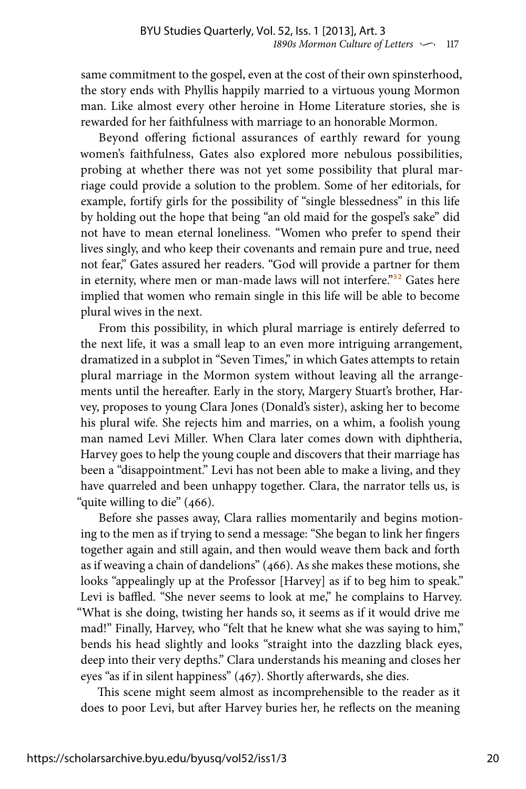same commitment to the gospel, even at the cost of their own spinsterhood, the story ends with Phyllis happily married to a virtuous young Mormon man. Like almost every other heroine in Home Literature stories, she is rewarded for her faithfulness with marriage to an honorable Mormon.

Beyond offering fictional assurances of earthly reward for young women's faithfulness, Gates also explored more nebulous possibilities, probing at whether there was not yet some possibility that plural marriage could provide a solution to the problem. Some of her editorials, for example, fortify girls for the possibility of "single blessedness" in this life by holding out the hope that being "an old maid for the gospel's sake" did not have to mean eternal loneliness. "Women who prefer to spend their lives singly, and who keep their covenants and remain pure and true, need not fear," Gates assured her readers. "God will provide a partner for them in eternity, where men or man-made laws will not interfere."<sup>52</sup> Gates here implied that women who remain single in this life will be able to become plural wives in the next.

From this possibility, in which plural marriage is entirely deferred to the next life, it was a small leap to an even more intriguing arrangement, dramatized in a subplot in "Seven Times," in which Gates attempts to retain plural marriage in the Mormon system without leaving all the arrangements until the hereafter. Early in the story, Margery Stuart's brother, Harvey, proposes to young Clara Jones (Donald's sister), asking her to become his plural wife. She rejects him and marries, on a whim, a foolish young man named Levi Miller. When Clara later comes down with diphtheria, Harvey goes to help the young couple and discovers that their marriage has been a "disappointment." Levi has not been able to make a living, and they have quarreled and been unhappy together. Clara, the narrator tells us, is "quite willing to die" (466).

Before she passes away, Clara rallies momentarily and begins motioning to the men as if trying to send a message: "She began to link her fingers together again and still again, and then would weave them back and forth as if weaving a chain of dandelions" (466). As she makes these motions, she looks "appealingly up at the Professor [Harvey] as if to beg him to speak." Levi is baffled. "She never seems to look at me," he complains to Harvey. "What is she doing, twisting her hands so, it seems as if it would drive me mad!" Finally, Harvey, who "felt that he knew what she was saying to him," bends his head slightly and looks "straight into the dazzling black eyes, deep into their very depths." Clara understands his meaning and closes her eyes "as if in silent happiness" (467). Shortly afterwards, she dies.

This scene might seem almost as incomprehensible to the reader as it does to poor Levi, but after Harvey buries her, he reflects on the meaning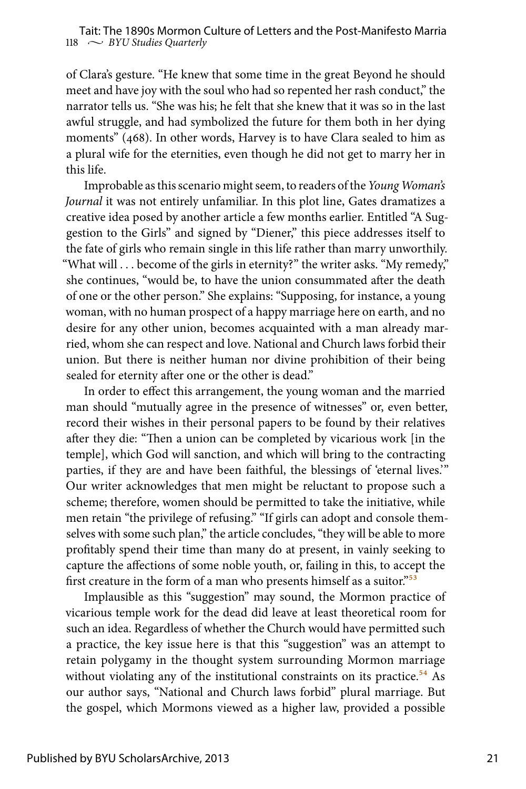of Clara's gesture. "He knew that some time in the great Beyond he should meet and have joy with the soul who had so repented her rash conduct," the narrator tells us. "She was his; he felt that she knew that it was so in the last awful struggle, and had symbolized the future for them both in her dying moments" (468). In other words, Harvey is to have Clara sealed to him as a plural wife for the eternities, even though he did not get to marry her in this life.

Improbable as this scenario might seem, to readers of the *Young Woman's Journal* it was not entirely unfamiliar. In this plot line, Gates dramatizes a creative idea posed by another article a few months earlier. Entitled "A Suggestion to the Girls" and signed by "Diener," this piece addresses itself to the fate of girls who remain single in this life rather than marry unworthily. "What will . . . become of the girls in eternity?" the writer asks. "My remedy," she continues, "would be, to have the union consummated after the death of one or the other person." She explains: "Supposing, for instance, a young woman, with no human prospect of a happy marriage here on earth, and no desire for any other union, becomes acquainted with a man already married, whom she can respect and love. National and Church laws forbid their union. But there is neither human nor divine prohibition of their being sealed for eternity after one or the other is dead."

In order to effect this arrangement, the young woman and the married man should "mutually agree in the presence of witnesses" or, even better, record their wishes in their personal papers to be found by their relatives after they die: "Then a union can be completed by vicarious work [in the temple], which God will sanction, and which will bring to the contracting parties, if they are and have been faithful, the blessings of 'eternal lives.'" Our writer acknowledges that men might be reluctant to propose such a scheme; therefore, women should be permitted to take the initiative, while men retain "the privilege of refusing." "If girls can adopt and console themselves with some such plan," the article concludes, "they will be able to more profitably spend their time than many do at present, in vainly seeking to capture the affections of some noble youth, or, failing in this, to accept the first creature in the form of a man who presents himself as a suitor."<sup>53</sup>

Implausible as this "suggestion" may sound, the Mormon practice of vicarious temple work for the dead did leave at least theoretical room for such an idea. Regardless of whether the Church would have permitted such a practice, the key issue here is that this "suggestion" was an attempt to retain polygamy in the thought system surrounding Mormon marriage without violating any of the institutional constraints on its practice.<sup>54</sup> As our author says, "National and Church laws forbid" plural marriage. But the gospel, which Mormons viewed as a higher law, provided a possible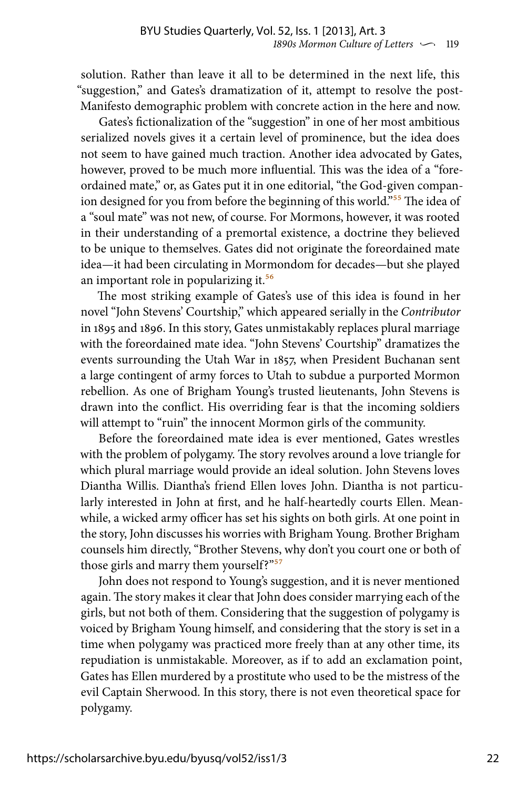solution. Rather than leave it all to be determined in the next life, this "suggestion," and Gates's dramatization of it, attempt to resolve the post-Manifesto demographic problem with concrete action in the here and now.

Gates's fictionalization of the "suggestion" in one of her most ambitious serialized novels gives it a certain level of prominence, but the idea does not seem to have gained much traction. Another idea advocated by Gates, however, proved to be much more influential. This was the idea of a "foreordained mate," or, as Gates put it in one editorial, "the God-given companion designed for you from before the beginning of this world."<sup>55</sup> The idea of a "soul mate" was not new, of course. For Mormons, however, it was rooted in their understanding of a premortal existence, a doctrine they believed to be unique to themselves. Gates did not originate the foreordained mate idea—it had been circulating in Mormondom for decades—but she played an important role in popularizing it.<sup>56</sup>

The most striking example of Gates's use of this idea is found in her novel "John Stevens' Courtship," which appeared serially in the *Contributor* in 1895 and 1896. In this story, Gates unmistakably replaces plural marriage with the foreordained mate idea. "John Stevens' Courtship" dramatizes the events surrounding the Utah War in 1857, when President Buchanan sent a large contingent of army forces to Utah to subdue a purported Mormon rebellion. As one of Brigham Young's trusted lieutenants, John Stevens is drawn into the conflict. His overriding fear is that the incoming soldiers will attempt to "ruin" the innocent Mormon girls of the community.

Before the foreordained mate idea is ever mentioned, Gates wrestles with the problem of polygamy. The story revolves around a love triangle for which plural marriage would provide an ideal solution. John Stevens loves Diantha Willis. Diantha's friend Ellen loves John. Diantha is not particularly interested in John at first, and he half-heartedly courts Ellen. Meanwhile, a wicked army officer has set his sights on both girls. At one point in the story, John discusses his worries with Brigham Young. Brother Brigham counsels him directly, "Brother Stevens, why don't you court one or both of those girls and marry them yourself?"<sup>57</sup>

John does not respond to Young's suggestion, and it is never mentioned again. The story makes it clear that John does consider marrying each of the girls, but not both of them. Considering that the suggestion of polygamy is voiced by Brigham Young himself, and considering that the story is set in a time when polygamy was practiced more freely than at any other time, its repudiation is unmistakable. Moreover, as if to add an exclamation point, Gates has Ellen murdered by a prostitute who used to be the mistress of the evil Captain Sherwood. In this story, there is not even theoretical space for polygamy.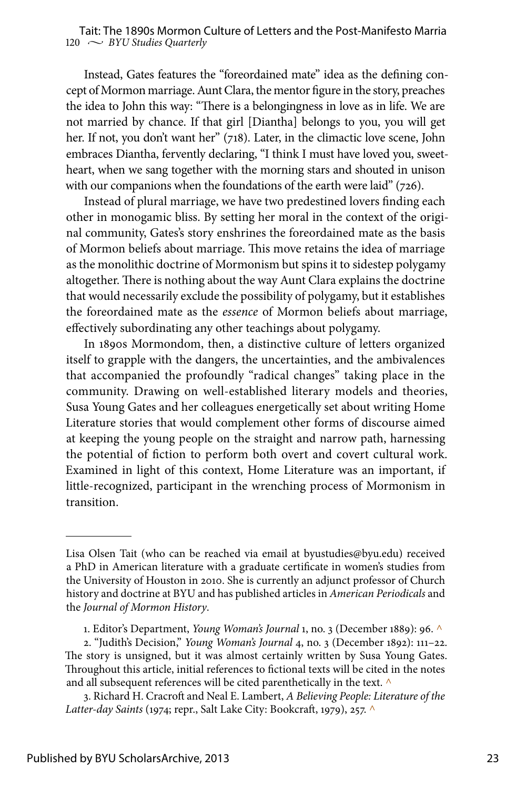Instead, Gates features the "foreordained mate" idea as the defining concept of Mormon marriage. Aunt Clara, the mentor figure in the story, preaches the idea to John this way: "There is a belongingness in love as in life. We are not married by chance. If that girl [Diantha] belongs to you, you will get her. If not, you don't want her" (718). Later, in the climactic love scene, John embraces Diantha, fervently declaring, "I think I must have loved you, sweetheart, when we sang together with the morning stars and shouted in unison with our companions when the foundations of the earth were laid" (726).

Instead of plural marriage, we have two predestined lovers finding each other in monogamic bliss. By setting her moral in the context of the original community, Gates's story enshrines the foreordained mate as the basis of Mormon beliefs about marriage. This move retains the idea of marriage as the monolithic doctrine of Mormonism but spins it to sidestep polygamy altogether. There is nothing about the way Aunt Clara explains the doctrine that would necessarily exclude the possibility of polygamy, but it establishes the foreordained mate as the *essence* of Mormon beliefs about marriage, effectively subordinating any other teachings about polygamy.

In 1890s Mormondom, then, a distinctive culture of letters organized itself to grapple with the dangers, the uncertainties, and the ambivalences that accompanied the profoundly "radical changes" taking place in the community. Drawing on well-established literary models and theories, Susa Young Gates and her colleagues energetically set about writing Home Literature stories that would complement other forms of discourse aimed at keeping the young people on the straight and narrow path, harnessing the potential of fiction to perform both overt and covert cultural work. Examined in light of this context, Home Literature was an important, if little-recognized, participant in the wrenching process of Mormonism in transition.

Lisa Olsen Tait (who can be reached via email at byustudies@byu.edu) received a PhD in American literature with a graduate certificate in women's studies from the University of Houston in 2010. She is currently an adjunct professor of Church history and doctrine at BYU and has published articles in *American Periodicals* and the *Journal of Mormon History*.

<sup>1.</sup> Editor's Department, *Young Woman's Journal* 1, no. 3 (December 1889): 96. ^

<sup>2. &</sup>quot;Judith's Decision," *Young Woman's Journal* 4, no. 3 (December 1892): 111–22. The story is unsigned, but it was almost certainly written by Susa Young Gates. Throughout this article, initial references to fictional texts will be cited in the notes and all subsequent references will be cited parenthetically in the text. ^

<sup>3.</sup> Richard H. Cracroft and Neal E. Lambert, *A Believing People: Literature of the Latter-day Saints* (1974; repr., Salt Lake City: Bookcraft, 1979), 257. ^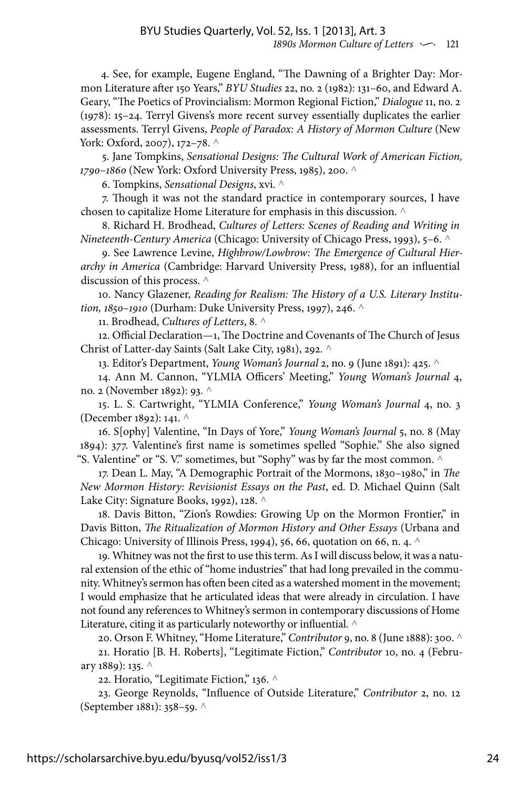4. See, for example, Eugene England, "The Dawning of a Brighter Day: Mormon Literature after 150 Years," *BYU Studies* 22, no. 2 (1982): 131–60, and Edward A. Geary, "The Poetics of Provincialism: Mormon Regional Fiction," *Dialogue* 11, no. 2 (1978): 15–24. Terryl Givens's more recent survey essentially duplicates the earlier assessments. Terryl Givens, *People of Paradox: A History of Mormon Culture* (New York: Oxford, 2007), 172-78. ^

5. Jane Tompkins, *Sensational Designs: The Cultural Work of American Fiction, 1790–1860* (New York: Oxford University Press, 1985), 200. ^

6. Tompkins, *Sensational Designs*, xvi. ^

7. Though it was not the standard practice in contemporary sources, I have chosen to capitalize Home Literature for emphasis in this discussion. ^

8. Richard H. Brodhead, *Cultures of Letters: Scenes of Reading and Writing in Nineteenth-Century America* (Chicago: University of Chicago Press, 1993), 5–6. ^

9. See Lawrence Levine, *Highbrow/Lowbrow: The Emergence of Cultural Hierarchy in America* (Cambridge: Harvard University Press, 1988), for an influential discussion of this process. ^

10. Nancy Glazener, *Reading for Realism: The History of a U.S. Literary Institution, 1850–1910* (Durham: Duke University Press, 1997), 246. ^

11. Brodhead, *Cultures of Letters*, 8. ^

12. Official Declaration—1, The Doctrine and Covenants of The Church of Jesus Christ of Latter-day Saints (Salt Lake City, 1981), 292. ^

13. Editor's Department, *Young Woman's Journal* 2, no. 9 (June 1891): 425. ^

14. Ann M. Cannon, "YLMIA Officers' Meeting," *Young Woman's Journal* 4, no. 2 (November 1892): 93. ^

15. L. S. Cartwright, "YLMIA Conference," *Young Woman's Journal* 4, no. 3 (December 1892): 141. ^

16. S[ophy] Valentine, "In Days of Yore," *Young Woman's Journal* 5, no. 8 (May 1894): 377. Valentine's first name is sometimes spelled "Sophie." She also signed "S. Valentine" or "S. V." sometimes, but "Sophy" was by far the most common.  $\wedge$ 

17. Dean L. May, "A Demographic Portrait of the Mormons, 1830–1980," in *The New Mormon History: Revisionist Essays on the Past*, ed. D. Michael Quinn (Salt Lake City: Signature Books, 1992), 128. ^

18. Davis Bitton, "Zion's Rowdies: Growing Up on the Mormon Frontier," in Davis Bitton, *The Ritualization of Mormon History and Other Essays* (Urbana and Chicago: University of Illinois Press, 1994), 56, 66, quotation on 66, n. 4. ^

19. Whitney was not the first to use this term. As I will discuss below, it was a natural extension of the ethic of "home industries" that had long prevailed in the community. Whitney's sermon has often been cited as a watershed moment in the movement; I would emphasize that he articulated ideas that were already in circulation. I have not found any references to Whitney's sermon in contemporary discussions of Home Literature, citing it as particularly noteworthy or influential.  $\wedge$ 

20. Orson F. Whitney, "Home Literature," *Contributor* 9, no. 8 (June 1888): 300. ^

21. Horatio [B. H. Roberts], "Legitimate Fiction," *Contributor* 10, no. 4 (February 1889): 135. ^

22. Horatio, "Legitimate Fiction," 136. ^

23. George Reynolds, "Influence of Outside Literature," *Contributor* 2, no. 12 (September 1881): 358–59. ^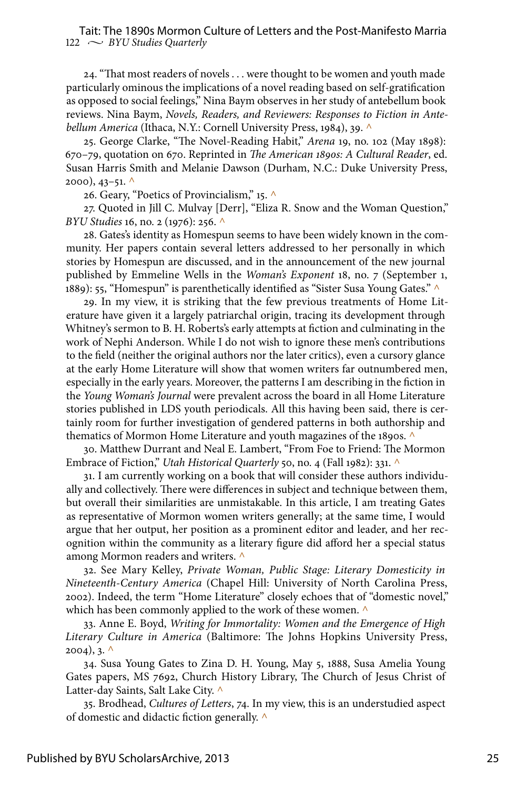#### $122 \sim$  *BYU Studies Quarterly* Tait: The 1890s Mormon Culture of Letters and the Post-Manifesto Marria

24. "That most readers of novels . . . were thought to be women and youth made particularly ominous the implications of a novel reading based on self-gratification as opposed to social feelings," Nina Baym observes in her study of antebellum book reviews. Nina Baym, *Novels, Readers, and Reviewers: Responses to Fiction in Antebellum America* (Ithaca, N.Y.: Cornell University Press, 1984), 39. ^

25. George Clarke, "The Novel-Reading Habit," *Arena* 19, no. 102 (May 1898): 670–79, quotation on 670. Reprinted in *The American 1890s: A Cultural Reader*, ed. Susan Harris Smith and Melanie Dawson (Durham, N.C.: Duke University Press,  $2000$ ,  $43-51$ . ^

26. Geary, "Poetics of Provincialism," 15. ^

27. Quoted in Jill C. Mulvay [Derr], "Eliza R. Snow and the Woman Question," *BYU Studies* 16, no. 2 (1976): 256. ^

28. Gates's identity as Homespun seems to have been widely known in the community. Her papers contain several letters addressed to her personally in which stories by Homespun are discussed, and in the announcement of the new journal published by Emmeline Wells in the *Woman's Exponent* 18, no. 7 (September 1, 1889): 55, "Homespun" is parenthetically identified as "Sister Susa Young Gates." ^

29. In my view, it is striking that the few previous treatments of Home Literature have given it a largely patriarchal origin, tracing its development through Whitney's sermon to B. H. Roberts's early attempts at fiction and culminating in the work of Nephi Anderson. While I do not wish to ignore these men's contributions to the field (neither the original authors nor the later critics), even a cursory glance at the early Home Literature will show that women writers far outnumbered men, especially in the early years. Moreover, the patterns I am describing in the fiction in the *Young Woman's Journal* were prevalent across the board in all Home Literature stories published in LDS youth periodicals. All this having been said, there is certainly room for further investigation of gendered patterns in both authorship and thematics of Mormon Home Literature and youth magazines of the 1890s. ^

30. Matthew Durrant and Neal E. Lambert, "From Foe to Friend: The Mormon Embrace of Fiction," *Utah Historical Quarterly* 50, no. 4 (Fall 1982): 331. ^

31. I am currently working on a book that will consider these authors individually and collectively. There were differences in subject and technique between them, but overall their similarities are unmistakable. In this article, I am treating Gates as representative of Mormon women writers generally; at the same time, I would argue that her output, her position as a prominent editor and leader, and her recognition within the community as a literary figure did afford her a special status among Mormon readers and writers. ^

32. See Mary Kelley, *Private Woman, Public Stage: Literary Domesticity in Nineteenth-Century America* (Chapel Hill: University of North Carolina Press, 2002). Indeed, the term "Home Literature" closely echoes that of "domestic novel," which has been commonly applied to the work of these women.  $\wedge$ 

33. Anne E. Boyd, *Writing for Immortality: Women and the Emergence of High Literary Culture in America* (Baltimore: The Johns Hopkins University Press,  $2004$ ), 3. ^

34. Susa Young Gates to Zina D. H. Young, May 5, 1888, Susa Amelia Young Gates papers, MS 7692, Church History Library, The Church of Jesus Christ of Latter-day Saints, Salt Lake City. ^

35. Brodhead, *Cultures of Letters*, 74. In my view, this is an understudied aspect of domestic and didactic fiction generally. ^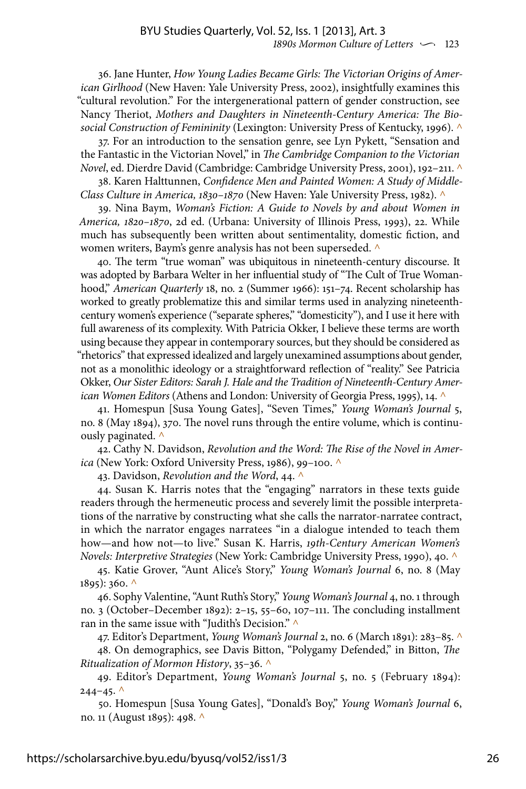36. Jane Hunter, *How Young Ladies Became Girls: The Victorian Origins of American Girlhood* (New Haven: Yale University Press, 2002), insightfully examines this "cultural revolution." For the intergenerational pattern of gender construction, see Nancy Theriot, *Mothers and Daughters in Nineteenth-Century America: The Biosocial Construction of Femininity* (Lexington: University Press of Kentucky, 1996). ^

37. For an introduction to the sensation genre, see Lyn Pykett, "Sensation and the Fantastic in the Victorian Novel," in *The Cambridge Companion to the Victorian Novel*, ed. Dierdre David (Cambridge: Cambridge University Press, 2001), 192–211. ^

38. Karen Halttunnen, *Confidence Men and Painted Women: A Study of Middle-Class Culture in America, 1830–1870* (New Haven: Yale University Press, 1982). ^

39. Nina Baym, *Woman's Fiction: A Guide to Novels by and about Women in America, 1820–1870*, 2d ed. (Urbana: University of Illinois Press, 1993), 22. While much has subsequently been written about sentimentality, domestic fiction, and women writers, Baym's genre analysis has not been superseded.  $\wedge$ 

40. The term "true woman" was ubiquitous in nineteenth-century discourse. It was adopted by Barbara Welter in her influential study of "The Cult of True Womanhood," *American Quarterly* 18, no. 2 (Summer 1966): 151–74. Recent scholarship has worked to greatly problematize this and similar terms used in analyzing nineteenthcentury women's experience ("separate spheres," "domesticity"), and I use it here with full awareness of its complexity. With Patricia Okker, I believe these terms are worth using because they appear in contemporary sources, but they should be considered as "rhetorics" that expressed idealized and largely unexamined assumptions about gender, not as a monolithic ideology or a straightforward reflection of "reality." See Patricia Okker, *Our Sister Editors: Sarah J. Hale and the Tradition of Nineteenth-Century American Women Editors* (Athens and London: University of Georgia Press, 1995), 14. ^

41. Homespun [Susa Young Gates], "Seven Times," *Young Woman's Journal* 5, no. 8 (May 1894), 370. The novel runs through the entire volume, which is continuously paginated.  $\wedge$ 

42. Cathy N. Davidson, *Revolution and the Word: The Rise of the Novel in America* (New York: Oxford University Press, 1986), 99–100. ^

43. Davidson, *Revolution and the Word*, 44. ^

44. Susan K. Harris notes that the "engaging" narrators in these texts guide readers through the hermeneutic process and severely limit the possible interpretations of the narrative by constructing what she calls the narrator-narratee contract, in which the narrator engages narratees "in a dialogue intended to teach them how—and how not—to live." Susan K. Harris, *19th-Century American Women's Novels: Interpretive Strategies* (New York: Cambridge University Press, 1990), 40. ^

45. Katie Grover, "Aunt Alice's Story," *Young Woman's Journal* 6, no. 8 (May 1895): 360. ^

46. Sophy Valentine, "Aunt Ruth's Story," *Young Woman's Journal* 4, no. 1 through no. 3 (October–December 1892): 2–15, 55–60, 107–111. The concluding installment ran in the same issue with "Judith's Decision."  $^\wedge$ 

47. Editor's Department, *Young Woman's Journal* 2, no. 6 (March 1891): 283–85. ^

48. On demographics, see Davis Bitton, "Polygamy Defended," in Bitton, *The Ritualization of Mormon History*, 35–36. ^

49. Editor's Department, *Young Woman's Journal* 5, no. 5 (February 1894):  $244 - 45.$  ^

50. Homespun [Susa Young Gates], "Donald's Boy," *Young Woman's Journal* 6, no. 11 (August 1895): 498. ^